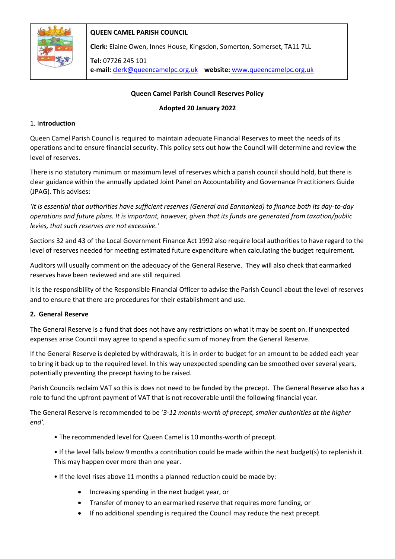

# **QUEEN CAMEL PARISH COUNCIL**

**Clerk:** Elaine Owen, Innes House, Kingsdon, Somerton, Somerset, TA11 7LL

**Tel:** 07726 245 101 **e-mail:** clerk@queencamelpc.org.uk **website:** [www.queencamelpc.org.uk](http://www.queencamelpc.org.uk/)

## **Queen Camel Parish Council Reserves Policy**

#### **Adopted 20 January 2022**

## 1. I**ntroduction**

Queen Camel Parish Council is required to maintain adequate Financial Reserves to meet the needs of its operations and to ensure financial security. This policy sets out how the Council will determine and review the level of reserves.

There is no statutory minimum or maximum level of reserves which a parish council should hold, but there is clear guidance within the annually updated Joint Panel on Accountability and Governance Practitioners Guide (JPAG). This advises:

*'It is essential that authorities have sufficient reserves (General and Earmarked) to finance both its day-to-day operations and future plans. It is important, however, given that its funds are generated from taxation/public levies, that such reserves are not excessive.'*

Sections 32 and 43 of the Local Government Finance Act 1992 also require local authorities to have regard to the level of reserves needed for meeting estimated future expenditure when calculating the budget requirement.

Auditors will usually comment on the adequacy of the General Reserve. They will also check that earmarked reserves have been reviewed and are still required.

It is the responsibility of the Responsible Financial Officer to advise the Parish Council about the level of reserves and to ensure that there are procedures for their establishment and use.

#### **2. General Reserve**

The General Reserve is a fund that does not have any restrictions on what it may be spent on. If unexpected expenses arise Council may agree to spend a specific sum of money from the General Reserve.

If the General Reserve is depleted by withdrawals, it is in order to budget for an amount to be added each year to bring it back up to the required level. In this way unexpected spending can be smoothed over several years, potentially preventing the precept having to be raised.

Parish Councils reclaim VAT so this is does not need to be funded by the precept. The General Reserve also has a role to fund the upfront payment of VAT that is not recoverable until the following financial year.

The General Reserve is recommended to be '*3-12 months-worth of precept, smaller authorities at the higher end'.* 

- The recommended level for Queen Camel is 10 months-worth of precept.
- If the level falls below 9 months a contribution could be made within the next budget(s) to replenish it. This may happen over more than one year.
- If the level rises above 11 months a planned reduction could be made by:
	- Increasing spending in the next budget year, or
	- Transfer of money to an earmarked reserve that requires more funding, or
	- If no additional spending is required the Council may reduce the next precept.